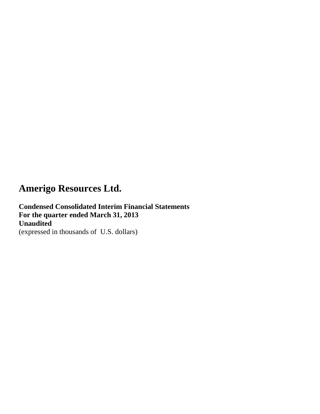**Condensed Consolidated Interim Financial Statements For the quarter ended March 31, 2013 Unaudited** (expressed in thousands of U.S. dollars)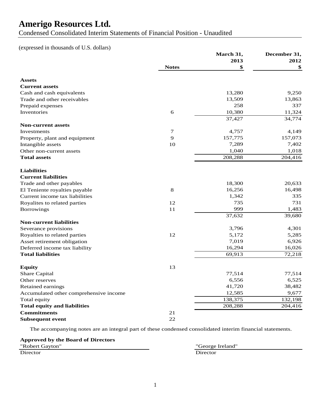Condensed Consolidated Interim Statements of Financial Position - Unaudited

#### (expressed in thousands of U.S. dollars)

| 2013<br>\$<br><b>Notes</b><br><b>Assets</b><br><b>Current assets</b><br>13,280<br>Cash and cash equivalents<br>13,509<br>Trade and other receivables<br>258<br>Prepaid expenses<br>10,380<br>Inventories<br>6<br>37,427<br><b>Non-current assets</b><br>7<br>4,757<br>Investments<br>9<br>157,775<br>Property, plant and equipment<br>10<br>7,289<br>Intangible assets<br>1,040<br>Other non-current assets<br>208,288<br><b>Total assets</b><br><b>Liabilities</b><br><b>Current liabilities</b><br>18,300<br>Trade and other payables<br>$\,8\,$<br>16,256<br>El Teniente royalties payable<br>1,342<br>Current income tax liabilities<br>735<br>12 |                              | March 31, | December 31, |
|-------------------------------------------------------------------------------------------------------------------------------------------------------------------------------------------------------------------------------------------------------------------------------------------------------------------------------------------------------------------------------------------------------------------------------------------------------------------------------------------------------------------------------------------------------------------------------------------------------------------------------------------------------|------------------------------|-----------|--------------|
|                                                                                                                                                                                                                                                                                                                                                                                                                                                                                                                                                                                                                                                       |                              |           | 2012         |
|                                                                                                                                                                                                                                                                                                                                                                                                                                                                                                                                                                                                                                                       |                              |           | \$           |
|                                                                                                                                                                                                                                                                                                                                                                                                                                                                                                                                                                                                                                                       |                              |           |              |
|                                                                                                                                                                                                                                                                                                                                                                                                                                                                                                                                                                                                                                                       |                              |           |              |
|                                                                                                                                                                                                                                                                                                                                                                                                                                                                                                                                                                                                                                                       |                              |           | 9,250        |
|                                                                                                                                                                                                                                                                                                                                                                                                                                                                                                                                                                                                                                                       |                              |           | 13,863       |
|                                                                                                                                                                                                                                                                                                                                                                                                                                                                                                                                                                                                                                                       |                              |           | 337          |
|                                                                                                                                                                                                                                                                                                                                                                                                                                                                                                                                                                                                                                                       |                              |           | 11,324       |
|                                                                                                                                                                                                                                                                                                                                                                                                                                                                                                                                                                                                                                                       |                              |           | 34,774       |
|                                                                                                                                                                                                                                                                                                                                                                                                                                                                                                                                                                                                                                                       |                              |           |              |
|                                                                                                                                                                                                                                                                                                                                                                                                                                                                                                                                                                                                                                                       |                              |           | 4,149        |
|                                                                                                                                                                                                                                                                                                                                                                                                                                                                                                                                                                                                                                                       |                              |           | 157,073      |
|                                                                                                                                                                                                                                                                                                                                                                                                                                                                                                                                                                                                                                                       |                              |           | 7,402        |
|                                                                                                                                                                                                                                                                                                                                                                                                                                                                                                                                                                                                                                                       |                              |           | 1,018        |
|                                                                                                                                                                                                                                                                                                                                                                                                                                                                                                                                                                                                                                                       |                              |           | 204,416      |
|                                                                                                                                                                                                                                                                                                                                                                                                                                                                                                                                                                                                                                                       |                              |           |              |
|                                                                                                                                                                                                                                                                                                                                                                                                                                                                                                                                                                                                                                                       |                              |           |              |
|                                                                                                                                                                                                                                                                                                                                                                                                                                                                                                                                                                                                                                                       |                              |           |              |
|                                                                                                                                                                                                                                                                                                                                                                                                                                                                                                                                                                                                                                                       |                              |           | 20,633       |
|                                                                                                                                                                                                                                                                                                                                                                                                                                                                                                                                                                                                                                                       |                              |           | 16,498       |
|                                                                                                                                                                                                                                                                                                                                                                                                                                                                                                                                                                                                                                                       |                              |           | 335          |
|                                                                                                                                                                                                                                                                                                                                                                                                                                                                                                                                                                                                                                                       | Royalites to related parties |           | 731          |
| 999<br>11<br><b>Borrowings</b>                                                                                                                                                                                                                                                                                                                                                                                                                                                                                                                                                                                                                        |                              |           | 1,483        |
| 37,632                                                                                                                                                                                                                                                                                                                                                                                                                                                                                                                                                                                                                                                |                              |           | 39,680       |
| <b>Non-current liabilities</b>                                                                                                                                                                                                                                                                                                                                                                                                                                                                                                                                                                                                                        |                              |           |              |
| 3,796<br>Severance provisions                                                                                                                                                                                                                                                                                                                                                                                                                                                                                                                                                                                                                         |                              |           | 4,301        |
| 12<br>5,172<br>Royalties to related parties                                                                                                                                                                                                                                                                                                                                                                                                                                                                                                                                                                                                           |                              |           | 5,285        |
| 7,019<br>Asset retirement obligation                                                                                                                                                                                                                                                                                                                                                                                                                                                                                                                                                                                                                  |                              |           | 6,926        |
| 16,294<br>Deferred income tax liability                                                                                                                                                                                                                                                                                                                                                                                                                                                                                                                                                                                                               |                              |           | 16,026       |
| <b>Total liabilities</b><br>69,913                                                                                                                                                                                                                                                                                                                                                                                                                                                                                                                                                                                                                    |                              |           | 72,218       |
|                                                                                                                                                                                                                                                                                                                                                                                                                                                                                                                                                                                                                                                       |                              |           |              |
| 13<br><b>Equity</b>                                                                                                                                                                                                                                                                                                                                                                                                                                                                                                                                                                                                                                   |                              |           |              |
| 77,514<br>Share Capital                                                                                                                                                                                                                                                                                                                                                                                                                                                                                                                                                                                                                               |                              |           | 77,514       |
| 6,556<br>Other reserves                                                                                                                                                                                                                                                                                                                                                                                                                                                                                                                                                                                                                               |                              |           | 6,525        |
| 41,720<br>Retained earnings                                                                                                                                                                                                                                                                                                                                                                                                                                                                                                                                                                                                                           |                              |           | 38,482       |
| 12,585<br>Accumulated other comprehensive income                                                                                                                                                                                                                                                                                                                                                                                                                                                                                                                                                                                                      |                              |           | 9,677        |
| 138,375<br>Total equity                                                                                                                                                                                                                                                                                                                                                                                                                                                                                                                                                                                                                               |                              |           | 132,198      |
| 208,288<br><b>Total equity and liabilities</b>                                                                                                                                                                                                                                                                                                                                                                                                                                                                                                                                                                                                        |                              |           | 204,416      |
| <b>Commitments</b><br>21                                                                                                                                                                                                                                                                                                                                                                                                                                                                                                                                                                                                                              |                              |           |              |
| 22<br>Subsequent event                                                                                                                                                                                                                                                                                                                                                                                                                                                                                                                                                                                                                                |                              |           |              |

The accompanying notes are an integral part of these condensed consolidated interim financial statements.

| Approved by the Board of Directors |                  |
|------------------------------------|------------------|
| "Robert Gayton"                    | "George Ireland" |
| Director                           | Director         |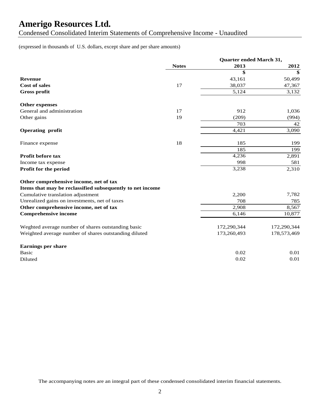Condensed Consolidated Interim Statements of Comprehensive Income - Unaudited

(expressed in thousands of U.S. dollars, except share and per share amounts)

|                                                           | Quarter ended March 31, |             |             |
|-----------------------------------------------------------|-------------------------|-------------|-------------|
|                                                           | <b>Notes</b>            | 2013        | 2012        |
|                                                           |                         | \$          | \$          |
| <b>Revenue</b>                                            |                         | 43,161      | 50,499      |
| <b>Cost of sales</b>                                      | 17                      | 38,037      | 47,367      |
| <b>Gross profit</b>                                       |                         | 5,124       | 3,132       |
| <b>Other expenses</b>                                     |                         |             |             |
| General and administration                                | 17                      | 912         | 1,036       |
| Other gains                                               | 19                      | (209)       | (994)       |
|                                                           |                         | 703         | 42          |
| <b>Operating profit</b>                                   |                         | 4,421       | 3,090       |
| Finance expense                                           | 18                      | 185         | 199         |
|                                                           |                         | 185         | 199         |
| Profit before tax                                         |                         | 4,236       | 2,891       |
| Income tax expense                                        |                         | 998         | 581         |
| Profit for the period                                     |                         | 3,238       | 2,310       |
| Other comprehensive income, net of tax                    |                         |             |             |
| Items that may be reclassified subsequently to net income |                         |             |             |
| Cumulative translation adjustment                         |                         | 2,200       | 7,782       |
| Unrealized gains on investments, net of taxes             |                         | 708         | 785         |
| Other comprehensive income, net of tax                    |                         | 2,908       | 8,567       |
| <b>Comprehensive income</b>                               |                         | 6,146       | 10,877      |
| Weghted average number of shares outstanding basic        |                         | 172,290,344 | 172,290,344 |
| Weighted average number of shares outstanding diluted     |                         | 173,260,493 | 178,573,469 |
| <b>Earnings per share</b>                                 |                         |             |             |
| <b>Basic</b>                                              |                         | 0.02        | 0.01        |
| Diluted                                                   |                         | 0.02        | 0.01        |
|                                                           |                         |             |             |

The accompanying notes are an integral part of these condensed consolidated interim financial statements.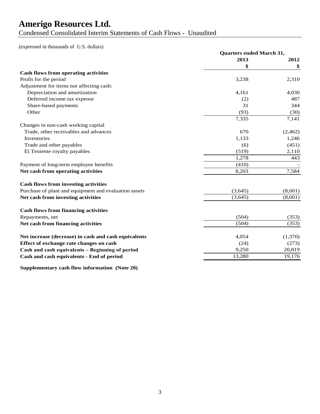## Condensed Consolidated Interim Statements of Cash Flows - Unaudited

(expressed in thousands of U.S. dollars)

|                                                       | Quarters ended March 31, |          |
|-------------------------------------------------------|--------------------------|----------|
|                                                       | 2013                     | 2012     |
|                                                       | \$                       | \$       |
| <b>Cash flows from operating activities</b>           |                          |          |
| Profit for the period                                 | 3,238                    | 2,310    |
| Adjustment for items not affecting cash:              |                          |          |
| Depreciation and amortization                         | 4,161                    | 4,030    |
| Deferred income tax expense                           | (2)                      | 487      |
| Share-based payments                                  | 31                       | 344      |
| Other                                                 | (93)                     | (30)     |
|                                                       | 7,335                    | 7,141    |
| Changes in non-cash working capital                   |                          |          |
| Trade, other receivables and advances                 | 670                      | (2, 462) |
| Inventories                                           | 1,133                    | 1,246    |
| Trade and other payables                              | (6)                      | (451)    |
| El Teniente royalty payables                          | (519)                    | 2,110    |
|                                                       | 1,278                    | 443      |
| Payment of long-term employee benefits                | (410)                    |          |
| Net cash from operating activities                    | 8,203                    | 7,584    |
| <b>Cash flows from investing activities</b>           |                          |          |
| Purchase of plant and equipment and evaluation assets | (3,645)                  | (8,601)  |
| Net cash from investing activities                    | (3,645)                  | (8,601)  |
| <b>Cash flows from financing activities</b>           |                          |          |
| Repayments, net                                       | (504)                    | (353)    |
| Net cash from financing activities                    | (504)                    | (353)    |
| Net increase (decrease) in cash and cash equivalents  | 4,054                    | (1,370)  |
| Effect of exchange rate changes on cash               | (24)                     | (273)    |
| Cash and cash equivalents - Beginning of period       | 9,250                    | 20,819   |
| Cash and cash equivalents - End of period             | 13,280                   | 19,176   |
| $\sim$ $\sim$<br>$ -$                                 |                          |          |

**Supplementary cash flow information (Note 20)**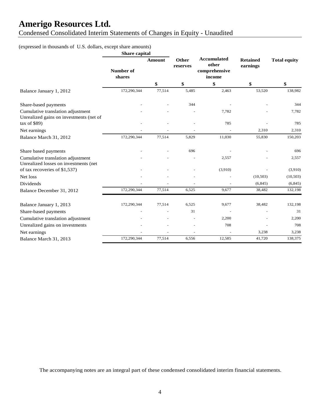Condensed Consolidated Interim Statements of Changes in Equity - Unaudited

#### (expressed in thousands of U.S. dollars, except share amounts)

|                                                                              | Share capital       |        |                   |                                                        |                             |                     |
|------------------------------------------------------------------------------|---------------------|--------|-------------------|--------------------------------------------------------|-----------------------------|---------------------|
|                                                                              | Number of<br>shares | Amount | Other<br>reserves | <b>Accumulated</b><br>other<br>comprehensive<br>income | <b>Retained</b><br>earnings | <b>Total equity</b> |
|                                                                              |                     | \$     | \$                | \$                                                     | \$                          | \$                  |
| Balance January 1, 2012                                                      | 172,290,344         | 77,514 | 5,485             | 2,463                                                  | 53,520                      | 138,982             |
| Share-based payments                                                         |                     |        | 344               |                                                        |                             | 344                 |
| Cumulative translation adjustment<br>Unrealized gains on investments (net of |                     |        |                   | 7,782                                                  |                             | 7,782               |
| $\text{tax of } $89)$                                                        |                     |        |                   | 785                                                    |                             | 785                 |
| Net earnings                                                                 |                     |        |                   |                                                        | 2,310                       | 2,310               |
| Balance March 31, 2012                                                       | 172,290,344         | 77,514 | 5,829             | 11,030                                                 | 55,830                      | 150,203             |
| Share based payments                                                         |                     |        | 696               |                                                        |                             | 696                 |
| Cumulative translation adjustment<br>Unrealized losses on investments (net   |                     |        |                   | 2,557                                                  |                             | 2,557               |
| of tax recoveries of \$1,537)                                                |                     |        |                   | (3,910)                                                |                             | (3,910)             |
| Net loss                                                                     |                     |        |                   |                                                        | (10, 503)                   | (10, 503)           |
| Dividends                                                                    |                     |        |                   |                                                        | (6, 845)                    | (6, 845)            |
| Balance December 31, 2012                                                    | 172,290,344         | 77,514 | 6,525             | 9,677                                                  | 38,482                      | 132,198             |
| Balance January 1, 2013                                                      | 172,290,344         | 77,514 | 6,525             | 9,677                                                  | 38,482                      | 132,198             |
| Share-based payments                                                         |                     |        | 31                |                                                        |                             | 31                  |
| Cumulative translation adjustment                                            |                     |        |                   | 2,200                                                  |                             | 2,200               |
| Unrealized gains on investments                                              |                     |        |                   | 708                                                    |                             | 708                 |
| Net earnings                                                                 |                     |        |                   |                                                        | 3,238                       | 3,238               |
| Balance March 31, 2013                                                       | 172,290,344         | 77,514 | 6,556             | 12,585                                                 | 41,720                      | 138,375             |

The accompanying notes are an integral part of these condensed consolidated interim financial statements.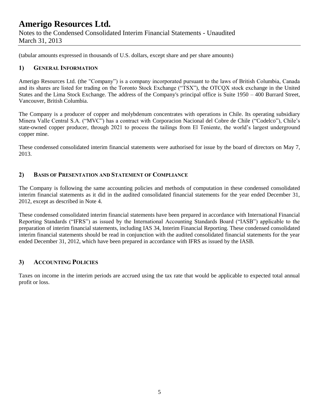(tabular amounts expressed in thousands of U.S. dollars, except share and per share amounts)

#### **1) GENERAL INFORMATION**

Amerigo Resources Ltd. (the "Company") is a company incorporated pursuant to the laws of British Columbia, Canada and its shares are listed for trading on the Toronto Stock Exchange ("TSX"), the OTCQX stock exchange in the United States and the Lima Stock Exchange. The address of the Company's principal office is Suite 1950 – 400 Burrard Street, Vancouver, British Columbia.

The Company is a producer of copper and molybdenum concentrates with operations in Chile. Its operating subsidiary Minera Valle Central S.A. ("MVC") has a contract with Corporacion Nacional del Cobre de Chile ("Codelco"), Chile's state-owned copper producer, through 2021 to process the tailings from El Teniente, the world's largest underground copper mine.

These condensed consolidated interim financial statements were authorised for issue by the board of directors on May 7, 2013.

#### **2) BASIS OF PRESENTATION AND STATEMENT OF COMPLIANCE**

The Company is following the same accounting policies and methods of computation in these condensed consolidated interim financial statements as it did in the audited consolidated financial statements for the year ended December 31, 2012, except as described in Note 4.

These condensed consolidated interim financial statements have been prepared in accordance with International Financial Reporting Standards ("IFRS") as issued by the International Accounting Standards Board ("IASB") applicable to the preparation of interim financial statements, including IAS 34, Interim Financial Reporting. These condensed consolidated interim financial statements should be read in conjunction with the audited consolidated financial statements for the year ended December 31, 2012, which have been prepared in accordance with IFRS as issued by the IASB.

#### **3) ACCOUNTING POLICIES**

Taxes on income in the interim periods are accrued using the tax rate that would be applicable to expected total annual profit or loss.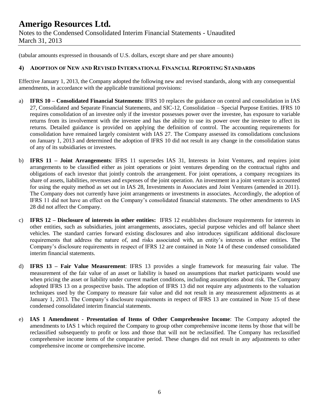(tabular amounts expressed in thousands of U.S. dollars, except share and per share amounts)

#### **4) ADOPTION OF NEW AND REVISED INTERNATIONAL FINANCIAL REPORTING STANDARDS**

Effective January 1, 2013, the Company adopted the following new and revised standards, along with any consequential amendments, in accordance with the applicable transitional provisions:

- a) **IFRS 10 – Consolidated Financial Statements**: IFRS 10 replaces the guidance on control and consolidation in IAS 27, Consolidated and Separate Financial Statements, and SIC-12, Consolidation – Special Purpose Entities. IFRS 10 requires consolidation of an investee only if the investor possesses power over the investee, has exposure to variable returns from its involvement with the investee and has the ability to use its power over the investee to affect its returns. Detailed guidance is provided on applying the definition of control. The accounting requirements for consolidation have remained largely consistent with IAS 27. The Company assessed its consolidations conclusions on January 1, 2013 and determined the adoption of IFRS 10 did not result in any change in the consolidation status of any of its subsidiaries or investees.
- b) **IFRS 11 – Joint Arrangements**: IFRS 11 supersedes IAS 31, Interests in Joint Ventures, and requires joint arrangements to be classified either as joint operations or joint ventures depending on the contractual rights and obligations of each investor that jointly controls the arrangement. For joint operations, a company recognizes its share of assets, liabilities, revenues and expenses of the joint operation. An investment in a joint venture is accounted for using the equity method as set out in IAS 28, Investments in Associates and Joint Ventures (amended in 2011). The Company does not currently have joint arrangements or investments in associates. Accordingly, the adoption of IFRS 11 did not have an effect on the Company's consolidated financial statements. The other amendments to IAS 28 did not affect the Company.
- c) **IFRS 12 – Disclosure of interests in other entities:** IFRS 12 establishes disclosure requirements for interests in other entities, such as subsidiaries, joint arrangements, associates, special purpose vehicles and off balance sheet vehicles. The standard carries forward existing disclosures and also introduces significant additional disclosure requirements that address the nature of, and risks associated with, an entity's interests in other entities. The Company's disclosure requirements in respect of IFRS 12 are contained in Note 14 of these condensed consolidated interim financial statements.
- d) **IFRS 13 – Fair Value Measurement**: IFRS 13 provides a single framework for measuring fair value. The measurement of the fair value of an asset or liability is based on assumptions that market participants would use when pricing the asset or liability under current market conditions, including assumptions about risk. The Company adopted IFRS 13 on a prospective basis. The adoption of IFRS 13 did not require any adjustments to the valuation techniques used by the Company to measure fair value and did not result in any measurement adjustments as at January 1, 2013. The Company's disclosure requirements in respect of IFRS 13 are contained in Note 15 of these condensed consolidated interim financial statements.
- e) **IAS 1 Amendment - Presentation of Items of Other Comprehensive Income**: The Company adopted the amendments to IAS 1 which required the Company to group other comprehensive income items by those that will be reclassified subsequently to profit or loss and those that will not be reclassified. The Company has reclassified comprehensive income items of the comparative period. These changes did not result in any adjustments to other comprehensive income or comprehensive income.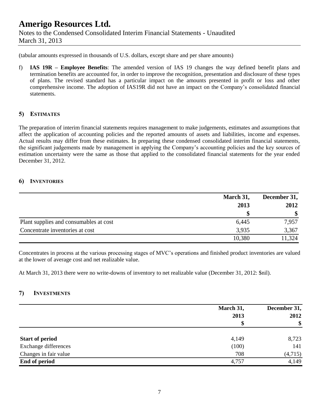(tabular amounts expressed in thousands of U.S. dollars, except share and per share amounts)

f) **IAS 19R – Employee Benefits**: The amended version of IAS 19 changes the way defined benefit plans and termination benefits are accounted for, in order to improve the recognition, presentation and disclosure of these types of plans. The revised standard has a particular impact on the amounts presented in profit or loss and other comprehensive income. The adoption of IAS19R did not have an impact on the Company's consolidated financial statements.

#### **5) ESTIMATES**

The preparation of interim financial statements requires management to make judgements, estimates and assumptions that affect the application of accounting policies and the reported amounts of assets and liabilities, income and expenses. Actual results may differ from these estimates. In preparing these condensed consolidated interim financial statements, the significant judgements made by management in applying the Company's accounting policies and the key sources of estimation uncertainty were the same as those that applied to the consolidated financial statements for the year ended December 31, 2012.

#### **6) INVENTORIES**

|                                        | March 31, | December 31,      |  |
|----------------------------------------|-----------|-------------------|--|
|                                        | 2013      | 2012              |  |
|                                        |           | $\boldsymbol{\$}$ |  |
| Plant supplies and consumables at cost | 6,445     | 7,957             |  |
| Concentrate inventories at cost        | 3,935     | 3,367             |  |
|                                        | 10,380    | 11,324            |  |

Concentrates in process at the various processing stages of MVC's operations and finished product inventories are valued at the lower of average cost and net realizable value.

At March 31, 2013 there were no write-downs of inventory to net realizable value (December 31, 2012: \$nil).

#### **7) INVESTMENTS**

|                        | March 31, |         |
|------------------------|-----------|---------|
|                        | 2013      | 2012    |
|                        |           | \$      |
| <b>Start of period</b> | 4,149     | 8,723   |
| Exchange differences   | (100)     | 141     |
| Changes in fair value  | 708       | (4,715) |
| End of period          | 4,757     | 4,149   |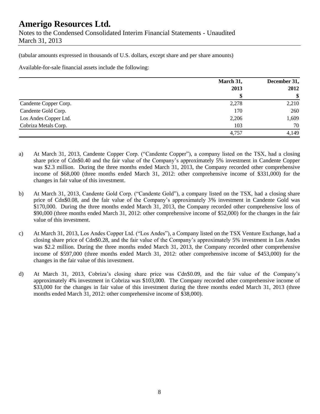(tabular amounts expressed in thousands of U.S. dollars, except share and per share amounts)

Available-for-sale financial assets include the following:

|                       | March 31, | December 31, |      |
|-----------------------|-----------|--------------|------|
|                       | 2013      |              | 2012 |
|                       | D         | \$           |      |
| Candente Copper Corp. | 2,278     | 2,210        |      |
| Candente Gold Corp.   | 170       | 260          |      |
| Los Andes Copper Ltd. | 2,206     | 1,609        |      |
| Cobriza Metals Corp.  | 103       | 70           |      |
|                       | 4,757     | 4,149        |      |

a) At March 31, 2013, Candente Copper Corp. ("Candente Copper"), a company listed on the TSX, had a closing share price of Cdn\$0.40 and the fair value of the Company's approximately 5% investment in Candente Copper was \$2.3 million. During the three months ended March 31, 2013, the Company recorded other comprehensive income of \$68,000 (three months ended March 31, 2012: other comprehensive income of \$331,000) for the changes in fair value of this investment.

- b) At March 31, 2013, Candente Gold Corp. ("Candente Gold"), a company listed on the TSX, had a closing share price of Cdn\$0.08, and the fair value of the Company's approximately 3% investment in Candente Gold was \$170,000. During the three months ended March 31, 2013, the Company recorded other comprehensive loss of \$90,000 (three months ended March 31, 2012: other comprehensive income of \$52,000) for the changes in the fair value of this investment.
- c) At March 31, 2013, Los Andes Copper Ltd. ("Los Andes"), a Company listed on the TSX Venture Exchange, had a closing share price of Cdn\$0.28, and the fair value of the Company's approximately 5% investment in Los Andes was \$2.2 million. During the three months ended March 31, 2013, the Company recorded other comprehensive income of \$597,000 (three months ended March 31, 2012: other comprehensive income of \$453,000) for the changes in the fair value of this investment.
- d) At March 31, 2013, Cobriza's closing share price was Cdn\$0.09, and the fair value of the Company's approximately 4% investment in Cobriza was \$103,000. The Company recorded other comprehensive income of \$33,000 for the changes in fair value of this investment during the three months ended March 31, 2013 (three months ended March 31, 2012: other comprehensive income of \$38,000).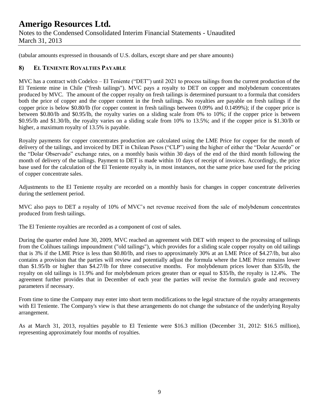(tabular amounts expressed in thousands of U.S. dollars, except share and per share amounts)

#### **8) EL TENIENTE ROYALTIES PAYABLE**

MVC has a contract with Codelco – El Teniente ("DET") until 2021 to process tailings from the current production of the El Teniente mine in Chile ("fresh tailings"). MVC pays a royalty to DET on copper and molybdenum concentrates produced by MVC. The amount of the copper royalty on fresh tailings is determined pursuant to a formula that considers both the price of copper and the copper content in the fresh tailings. No royalties are payable on fresh tailings if the copper price is below \$0.80/lb (for copper content in fresh tailings between 0.09% and 0.1499%); if the copper price is between \$0.80/lb and \$0.95/lb, the royalty varies on a sliding scale from 0% to 10%; if the copper price is between \$0.95/lb and \$1.30/lb, the royalty varies on a sliding scale from 10% to 13.5%; and if the copper price is \$1.30/lb or higher, a maximum royalty of 13.5% is payable.

Royalty payments for copper concentrates production are calculated using the LME Price for copper for the month of delivery of the tailings, and invoiced by DET in Chilean Pesos ("CLP") using the higher of either the "Dolar Acuerdo" or the "Dolar Observado" exchange rates, on a monthly basis within 30 days of the end of the third month following the month of delivery of the tailings. Payment to DET is made within 10 days of receipt of invoices. Accordingly, the price base used for the calculation of the El Teniente royalty is, in most instances, not the same price base used for the pricing of copper concentrate sales.

Adjustments to the El Teniente royalty are recorded on a monthly basis for changes in copper concentrate deliveries during the settlement period.

MVC also pays to DET a royalty of 10% of MVC's net revenue received from the sale of molybdenum concentrates produced from fresh tailings.

The El Teniente royalties are recorded as a component of cost of sales.

During the quarter ended June 30, 2009, MVC reached an agreement with DET with respect to the processing of tailings from the Colihues tailings impoundment ("old tailings"), which provides for a sliding scale copper royalty on old tailings that is 3% if the LME Price is less than \$0.80/lb, and rises to approximately 30% at an LME Price of \$4.27/lb, but also contains a provision that the parties will review and potentially adjust the formula where the LME Price remains lower than \$1.95/lb or higher than \$4.27/lb for three consecutive months. For molybdenum prices lower than \$35/lb, the royalty on old tailings is 11.9% and for molybdenum prices greater than or equal to \$35/lb, the royalty is 12.4%. The agreement further provides that in December of each year the parties will revise the formula's grade and recovery parameters if necessary.

From time to time the Company may enter into short term modifications to the legal structure of the royalty arrangements with El Teniente. The Company's view is that these arrangements do not change the substance of the underlying Royalty arrangement.

As at March 31, 2013, royalties payable to El Teniente were \$16.3 million (December 31, 2012: \$16.5 million), representing approximately four months of royalties.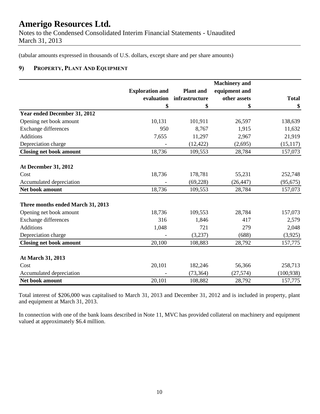Notes to the Condensed Consolidated Interim Financial Statements - Unaudited March 31, 2013

(tabular amounts expressed in thousands of U.S. dollars, except share and per share amounts)

#### **9) PROPERTY, PLANT AND EQUIPMENT**

|                                   |                        |                  | <b>Machinery</b> and |              |
|-----------------------------------|------------------------|------------------|----------------------|--------------|
|                                   | <b>Exploration and</b> | <b>Plant</b> and | equipment and        |              |
|                                   | evaluation             | infrastructure   | other assets         | <b>Total</b> |
|                                   | \$                     | \$               | \$                   | \$           |
| Year ended December 31, 2012      |                        |                  |                      |              |
| Opening net book amount           | 10,131                 | 101,911          | 26,597               | 138,639      |
| <b>Exchange differences</b>       | 950                    | 8,767            | 1,915                | 11,632       |
| <b>Additions</b>                  | 7,655                  | 11,297           | 2,967                | 21,919       |
| Depreciation charge               |                        | (12, 422)        | (2,695)              | (15, 117)    |
| <b>Closing net book amount</b>    | 18,736                 | 109,553          | 28,784               | 157,073      |
|                                   |                        |                  |                      |              |
| <b>At December 31, 2012</b>       |                        |                  |                      |              |
| Cost                              | 18,736                 | 178,781          | 55,231               | 252,748      |
| Accumulated depreciation          |                        | (69, 228)        | (26, 447)            | (95, 675)    |
| Net book amount                   | 18,736                 | 109,553          | 28,784               | 157,073      |
|                                   |                        |                  |                      |              |
| Three months ended March 31, 2013 |                        |                  |                      |              |
| Opening net book amount           | 18,736                 | 109,553          | 28,784               | 157,073      |
| Exchange differences              | 316                    | 1,846            | 417                  | 2,579        |
| <b>Additions</b>                  | 1,048                  | 721              | 279                  | 2,048        |
| Depreciation charge               |                        | (3,237)          | (688)                | (3,925)      |
| <b>Closing net book amount</b>    | 20,100                 | 108,883          | 28,792               | 157,775      |
|                                   |                        |                  |                      |              |
| At March 31, 2013                 |                        |                  |                      |              |
| Cost                              | 20,101                 | 182,246          | 56,366               | 258,713      |
| Accumulated depreciation          |                        | (73, 364)        | (27, 574)            | (100, 938)   |
| Net book amount                   | 20,101                 | 108,882          | 28,792               | 157,775      |

Total interest of \$206,000 was capitalised to March 31, 2013 and December 31, 2012 and is included in property, plant and equipment at March 31, 2013.

In connection with one of the bank loans described in Note 11, MVC has provided collateral on machinery and equipment valued at approximately \$6.4 million.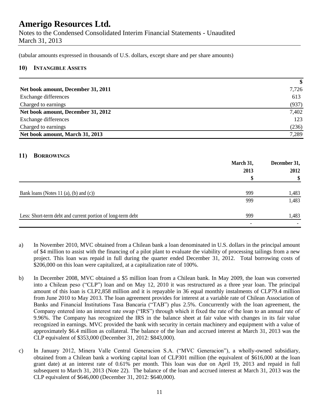Notes to the Condensed Consolidated Interim Financial Statements - Unaudited March 31, 2013

(tabular amounts expressed in thousands of U.S. dollars, except share and per share amounts)

#### **10) INTANGIBLE ASSETS**

|                                    | \$    |
|------------------------------------|-------|
| Net book amount, December 31, 2011 | 7,726 |
| Exchange differences               | 613   |
| Charged to earnings                | (937) |
| Net book amount, December 31, 2012 | 7,402 |
| Exchange differences               | 123   |
| Charged to earnings                | (236) |
| Net book amount, March 31, 2013    | 7,289 |

#### **11) BORROWINGS**

|                                                             | March 31,<br>2013        | December 31, |      |
|-------------------------------------------------------------|--------------------------|--------------|------|
|                                                             |                          |              | 2012 |
|                                                             |                          | \$           |      |
| Bank loans (Notes 11 $(a)$ , $(b)$ and $(c)$ )              | 999                      | 1,483        |      |
|                                                             | 999                      | 1,483        |      |
| Less: Short-term debt and current portion of long-term debt | 999                      | 1,483        |      |
|                                                             | $\overline{\phantom{0}}$ |              |      |

- a) In November 2010, MVC obtained from a Chilean bank a loan denominated in U.S. dollars in the principal amount of \$4 million to assist with the financing of a pilot plant to evaluate the viability of processing tailings from a new project. This loan was repaid in full during the quarter ended December 31, 2012. Total borrowing costs of \$206,000 on this loan were capitalized, at a capitalization rate of 100%.
- b) In December 2008, MVC obtained a \$5 million loan from a Chilean bank. In May 2009, the loan was converted into a Chilean peso ("CLP") loan and on May 12, 2010 it was restructured as a three year loan. The principal amount of this loan is CLP2,858 million and it is repayable in 36 equal monthly instalments of CLP79.4 million from June 2010 to May 2013. The loan agreement provides for interest at a variable rate of Chilean Association of Banks and Financial Institutions Tasa Bancaria ("TAB") plus 2.5%. Concurrently with the loan agreement, the Company entered into an interest rate swap ("IRS") through which it fixed the rate of the loan to an annual rate of 9.96%. The Company has recognized the IRS in the balance sheet at fair value with changes in its fair value recognized in earnings. MVC provided the bank with security in certain machinery and equipment with a value of approximately \$6.4 million as collateral. The balance of the loan and accrued interest at March 31, 2013 was the CLP equivalent of \$353,000 (December 31, 2012: \$843,000).
- c) In January 2012, Minera Valle Central Generacion S.A. ("MVC Generacion"), a wholly-owned subsidiary, obtained from a Chilean bank a working capital loan of CLP301 million (the equivalent of \$616,000 at the loan grant date) at an interest rate of 0.61% per month. This loan was due on April 19, 2013 and repaid in full subsequent to March 31, 2013 (Note 22). The balance of the loan and accrued interest at March 31, 2013 was the CLP equivalent of \$646,000 (December 31, 2012: \$640,000).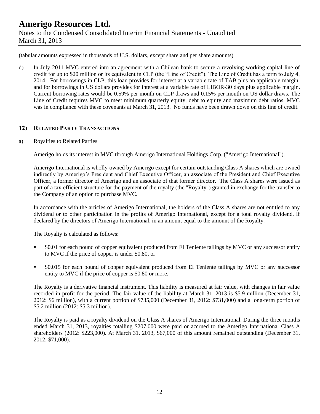(tabular amounts expressed in thousands of U.S. dollars, except share and per share amounts)

d) In July 2011 MVC entered into an agreement with a Chilean bank to secure a revolving working capital line of credit for up to \$20 million or its equivalent in CLP (the "Line of Credit"). The Line of Credit has a term to July 4, 2014. For borrowings in CLP, this loan provides for interest at a variable rate of TAB plus an applicable margin, and for borrowings in US dollars provides for interest at a variable rate of LIBOR-30 days plus applicable margin. Current borrowing rates would be 0.59% per month on CLP draws and 0.15% per month on US dollar draws. The Line of Credit requires MVC to meet minimum quarterly equity, debt to equity and maximum debt ratios. MVC was in compliance with these covenants at March 31, 2013. No funds have been drawn down on this line of credit.

#### **12) RELATED PARTY TRANSACTIONS**

a) Royalties to Related Parties

Amerigo holds its interest in MVC through Amerigo International Holdings Corp. ("Amerigo International").

Amerigo International is wholly-owned by Amerigo except for certain outstanding Class A shares which are owned indirectly by Amerigo's President and Chief Executive Officer, an associate of the President and Chief Executive Officer, a former director of Amerigo and an associate of that former director. The Class A shares were issued as part of a tax-efficient structure for the payment of the royalty (the "Royalty") granted in exchange for the transfer to the Company of an option to purchase MVC.

In accordance with the articles of Amerigo International, the holders of the Class A shares are not entitled to any dividend or to other participation in the profits of Amerigo International, except for a total royalty dividend, if declared by the directors of Amerigo International, in an amount equal to the amount of the Royalty.

The Royalty is calculated as follows:

- **•** \$0.01 for each pound of copper equivalent produced from El Teniente tailings by MVC or any successor entity to MVC if the price of copper is under \$0.80, or
- **50.015** for each pound of copper equivalent produced from El Teniente tailings by MVC or any successor entity to MVC if the price of copper is \$0.80 or more.

The Royalty is a derivative financial instrument. This liability is measured at fair value, with changes in fair value recorded in profit for the period. The fair value of the liability at March 31, 2013 is \$5.9 million (December 31, 2012: \$6 million), with a current portion of \$735,000 (December 31, 2012: \$731,000) and a long-term portion of \$5.2 million (2012: \$5.3 million).

The Royalty is paid as a royalty dividend on the Class A shares of Amerigo International. During the three months ended March 31, 2013, royalties totalling \$207,000 were paid or accrued to the Amerigo International Class A shareholders (2012: \$223,000). At March 31, 2013, \$67,000 of this amount remained outstanding (December 31, 2012: \$71,000).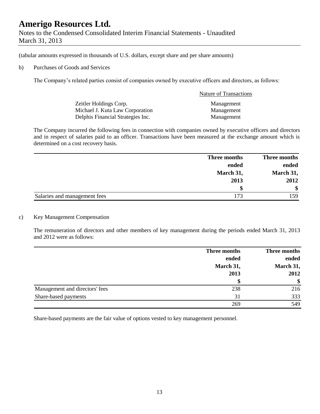Notes to the Condensed Consolidated Interim Financial Statements - Unaudited March 31, 2013

(tabular amounts expressed in thousands of U.S. dollars, except share and per share amounts)

#### b) Purchases of Goods and Services

The Company's related parties consist of companies owned by executive officers and directors, as follows:

|                                   | <b>Nature of Transactions</b> |
|-----------------------------------|-------------------------------|
| Zeitler Holdings Corp.            | Management                    |
| Michael J. Kuta Law Corporation   | Management                    |
| Delphis Financial Strategies Inc. | Management                    |

The Company incurred the following fees in connection with companies owned by executive officers and directors and in respect of salaries paid to an officer. Transactions have been measured at the exchange amount which is determined on a cost recovery basis.

|                              | Three months | Three months |
|------------------------------|--------------|--------------|
|                              | ended        | ended        |
|                              | March 31,    | March 31,    |
|                              | 2013         | 2012         |
|                              |              | \$           |
| Salaries and management fees | 173          | 159          |

#### c) Key Management Compensation

The remuneration of directors and other members of key management during the periods ended March 31, 2013 and 2012 were as follows:

|                                | Three months | Three months |
|--------------------------------|--------------|--------------|
|                                | ended        | ended        |
|                                | March 31,    | March 31,    |
|                                | 2013         | 2012         |
|                                | S            | \$           |
| Management and directors' fees | 238          | 216          |
| Share-based payments           | 31           | 333          |
|                                | 269          | 549          |

Share-based payments are the fair value of options vested to key management personnel.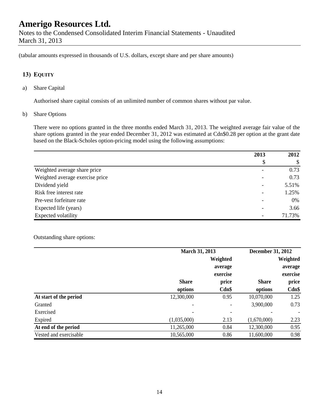(tabular amounts expressed in thousands of U.S. dollars, except share and per share amounts)

#### **13) EQUITY**

a) Share Capital

Authorised share capital consists of an unlimited number of common shares without par value.

b) Share Options

There were no options granted in the three months ended March 31, 2013. The weighted average fair value of the share options granted in the year ended December 31, 2012 was estimated at Cdn\$0.28 per option at the grant date based on the Black-Scholes option-pricing model using the following assumptions:

|                                 | 2013 | 2012   |
|---------------------------------|------|--------|
|                                 | \$   | \$     |
| Weighted average share price    |      | 0.73   |
| Weighted average exercise price |      | 0.73   |
| Dividend yield                  |      | 5.51%  |
| Risk free interest rate         |      | 1.25%  |
| Pre-vest forfeiture rate        |      | 0%     |
| Expected life (years)           |      | 3.66   |
| Expected volatility             |      | 71.73% |

#### Outstanding share options:

|                        |                          | <b>March 31, 2013</b> |              | December 31, 2012 |  |  |
|------------------------|--------------------------|-----------------------|--------------|-------------------|--|--|
|                        |                          | Weighted              |              | Weighted          |  |  |
|                        |                          | average               |              | average           |  |  |
|                        |                          | exercise              |              | exercise          |  |  |
|                        | <b>Share</b>             | price                 | <b>Share</b> | price             |  |  |
|                        | options                  | Cdn\$                 | options      | $Cdn$ \$          |  |  |
| At start of the period | 12,300,000               | 0.95                  | 10,070,000   | 1.25              |  |  |
| Granted                | $\overline{\phantom{a}}$ |                       | 3,900,000    | 0.73              |  |  |
| Exercised              | ٠                        |                       |              |                   |  |  |
| Expired                | (1,035,000)              | 2.13                  | (1,670,000)  | 2.23              |  |  |
| At end of the period   | 11,265,000               | 0.84                  | 12,300,000   | 0.95              |  |  |
| Vested and exercisable | 10,565,000               | 0.86                  | 11,600,000   | 0.98              |  |  |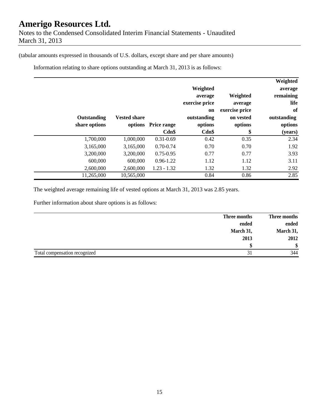(tabular amounts expressed in thousands of U.S. dollars, except share and per share amounts)

Information relating to share options outstanding at March 31, 2013 is as follows:

|               |                     |               |                |                | Weighted    |
|---------------|---------------------|---------------|----------------|----------------|-------------|
|               |                     |               | Weighted       |                | average     |
|               |                     |               | average        | Weighted       | remaining   |
|               |                     |               | exercise price | average        | life        |
|               |                     |               | <sub>on</sub>  | exercise price | of          |
| Outstanding   | <b>Vested share</b> |               | outstanding    | on vested      | outstanding |
| share options | options             | Price range   | options        | options        | options     |
|               |                     | $Cdn$ \$      | Cdn\$          | \$             | (years)     |
| 1,700,000     | 1,000,000           | $0.31 - 0.69$ | 0.42           | 0.35           | 2.34        |
| 3,165,000     | 3,165,000           | $0.70 - 0.74$ | 0.70           | 0.70           | 1.92        |
| 3,200,000     | 3,200,000           | $0.75 - 0.95$ | 0.77           | 0.77           | 3.93        |
| 600,000       | 600,000             | $0.96 - 1.22$ | 1.12           | 1.12           | 3.11        |
| 2,600,000     | 2,600,000           | $1.23 - 1.32$ | 1.32           | 1.32           | 2.92        |
| 11,265,000    | 10,565,000          |               | 0.84           | 0.86           | 2.85        |

The weighted average remaining life of vested options at March 31, 2013 was 2.85 years.

Further information about share options is as follows:

|                               | Three months | Three months |
|-------------------------------|--------------|--------------|
|                               | ended        | ended        |
|                               | March 31,    | March 31,    |
|                               | 2013         | 2012         |
|                               |              | \$           |
| Total compensation recognized |              | 344          |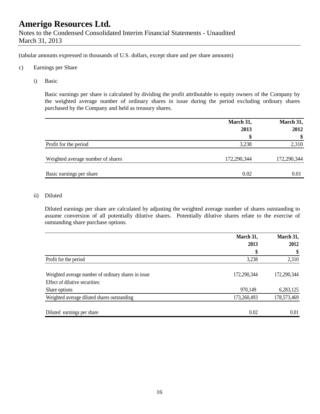(tabular amounts expressed in thousands of U.S. dollars, except share and per share amounts)

#### c) Earnings per Share

i) Basic

Basic earnings per share is calculated by dividing the profit attributable to equity owners of the Company by the weighted average number of ordinary shares in issue during the period excluding ordinary shares purchased by the Company and held as treasury shares.

|                                   | March 31,   | March 31,         |  |
|-----------------------------------|-------------|-------------------|--|
|                                   | 2013        | 2012              |  |
|                                   | D           | $\boldsymbol{\$}$ |  |
| Profit for the period             | 3,238       | 2,310             |  |
| Weighted average number of shares | 172,290,344 | 172,290,344       |  |
| Basic earnings per share          | 0.02        | 0.01              |  |

#### ii) Diluted

Diluted earnings per share are calculated by adjusting the weighted average number of shares outstanding to assume conversion of all potentially dilutive shares. Potentially dilutive shares relate to the exercise of outstanding share purchase options.

|                                                     | March 31,   | March 31,   |  |
|-----------------------------------------------------|-------------|-------------|--|
|                                                     | 2013        | 2012        |  |
|                                                     | \$          | \$          |  |
| Profit for the period                               | 3,238       | 2,310       |  |
|                                                     |             |             |  |
| Weighted average number of ordinary shares in issue | 172,290,344 | 172,290,344 |  |
| Effect of dilutive securities:                      |             |             |  |
| Share options                                       | 970,149     | 6,283,125   |  |
| Weighted average diluted shares outstanding         | 173,260,493 | 178,573,469 |  |
|                                                     |             |             |  |
| Diluted earnings per share                          | 0.02        | 0.01        |  |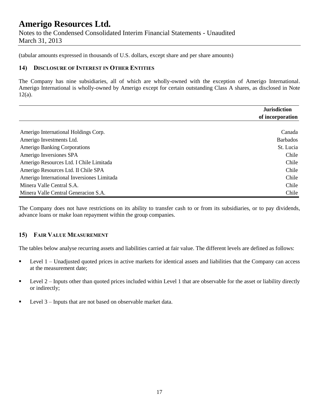Notes to the Condensed Consolidated Interim Financial Statements - Unaudited March 31, 2013

(tabular amounts expressed in thousands of U.S. dollars, except share and per share amounts)

#### **14) DISCLOSURE OF INTEREST IN OTHER ENTITIES**

The Company has nine subsidiaries, all of which are wholly-owned with the exception of Amerigo International. Amerigo International is wholly-owned by Amerigo except for certain outstanding Class A shares, as disclosed in Note 12(a).

|                                            | <b>Jurisdiction</b><br>of incorporation |
|--------------------------------------------|-----------------------------------------|
|                                            |                                         |
| Amerigo International Holdings Corp.       | Canada                                  |
| Amerigo Investments Ltd.                   | <b>Barbados</b>                         |
| <b>Amerigo Banking Corporations</b>        | St. Lucia                               |
| Amerigo Inversiones SPA                    | Chile                                   |
| Amerigo Resources Ltd. I Chile Limitada    | Chile                                   |
| Amerigo Resources Ltd. II Chile SPA        | Chile                                   |
| Amerigo International Inversiones Limitada | Chile                                   |
| Minera Valle Central S.A.                  | Chile                                   |
| Minera Valle Central Generacion S.A.       | Chile                                   |

The Company does not have restrictions on its ability to transfer cash to or from its subsidiaries, or to pay dividends, advance loans or make loan repayment within the group companies.

#### **15) FAIR VALUE MEASUREMENT**

The tables below analyse recurring assets and liabilities carried at fair value. The different levels are defined as follows:

- Level 1 Unadjusted quoted prices in active markets for identical assets and liabilities that the Company can access at the measurement date;
- Level 2 Inputs other than quoted prices included within Level 1 that are observable for the asset or liability directly or indirectly;
- Level 3 Inputs that are not based on observable market data.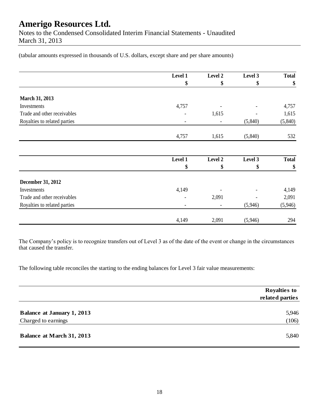Notes to the Condensed Consolidated Interim Financial Statements - Unaudited March 31, 2013

(tabular amounts expressed in thousands of U.S. dollars, except share and per share amounts)

|                              | Level 1 | Level 2                  | Level 3 | <b>Total</b> |
|------------------------------|---------|--------------------------|---------|--------------|
|                              | \$      | \$                       | \$      | \$           |
| March 31, 2013               |         |                          |         |              |
| Investments                  | 4,757   |                          |         | 4,757        |
| Trade and other receivables  |         | 1,615                    |         | 1,615        |
| Royalties to related parties |         |                          | (5,840) | (5,840)      |
|                              | 4,757   | 1,615                    | (5,840) | 532          |
|                              |         |                          |         |              |
|                              | Level 1 | Level 2                  | Level 3 | <b>Total</b> |
|                              | \$      | \$                       | \$      | \$           |
| December 31, 2012            |         |                          |         |              |
| Investments                  | 4,149   |                          |         | 4,149        |
| Trade and other receivables  |         | 2,091                    |         | 2,091        |
| Royalties to related parties |         | $\overline{\phantom{a}}$ | (5,946) | (5,946)      |
|                              | 4,149   | 2,091                    | (5,946) | 294          |

The Company's policy is to recognize transfers out of Level 3 as of the date of the event or change in the circumstances that caused the transfer.

The following table reconciles the starting to the ending balances for Level 3 fair value measurements:

|                                   | <b>Royalties to</b><br>related parties |
|-----------------------------------|----------------------------------------|
|                                   |                                        |
| <b>Balance at January 1, 2013</b> | 5,946                                  |
| Charged to earnings               | (106)                                  |
| <b>Balance at March 31, 2013</b>  | 5,840                                  |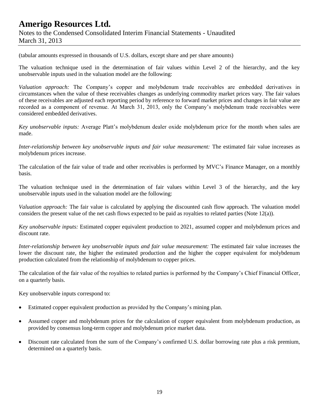(tabular amounts expressed in thousands of U.S. dollars, except share and per share amounts)

The valuation technique used in the determination of fair values within Level 2 of the hierarchy, and the key unobservable inputs used in the valuation model are the following:

*Valuation approach:* The Company's copper and molybdenum trade receivables are embedded derivatives in circumstances when the value of these receivables changes as underlying commodity market prices vary. The fair values of these receivables are adjusted each reporting period by reference to forward market prices and changes in fair value are recorded as a component of revenue. At March 31, 2013, only the Company's molybdenum trade receivables were considered embedded derivatives.

*Key unobservable inputs:* Average Platt's molybdenum dealer oxide molybdenum price for the month when sales are made.

*Inter-relationship between key unobservable inputs and fair value measurement:* The estimated fair value increases as molybdenum prices increase.

The calculation of the fair value of trade and other receivables is performed by MVC's Finance Manager, on a monthly basis.

The valuation technique used in the determination of fair values within Level 3 of the hierarchy, and the key unobservable inputs used in the valuation model are the following:

*Valuation approach:* The fair value is calculated by applying the discounted cash flow approach. The valuation model considers the present value of the net cash flows expected to be paid as royalties to related parties (Note 12(a)).

*Key unobservable inputs:* Estimated copper equivalent production to 2021, assumed copper and molybdenum prices and discount rate.

*Inter-relationship between key unobservable inputs and fair value measurement:* The estimated fair value increases the lower the discount rate, the higher the estimated production and the higher the copper equivalent for molybdenum production calculated from the relationship of molybdenum to copper prices.

The calculation of the fair value of the royalties to related parties is performed by the Company's Chief Financial Officer, on a quarterly basis.

Key unobservable inputs correspond to:

- Estimated copper equivalent production as provided by the Company's mining plan.
- Assumed copper and molybdenum prices for the calculation of copper equivalent from molybdenum production, as provided by consensus long-term copper and molybdenum price market data.
- Discount rate calculated from the sum of the Company's confirmed U.S. dollar borrowing rate plus a risk premium, determined on a quarterly basis.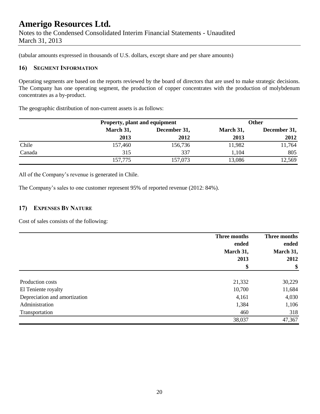(tabular amounts expressed in thousands of U.S. dollars, except share and per share amounts)

#### **16) SEGMENT INFORMATION**

Operating segments are based on the reports reviewed by the board of directors that are used to make strategic decisions. The Company has one operating segment, the production of copper concentrates with the production of molybdenum concentrates as a by-product.

The geographic distribution of non-current assets is as follows:

|        |           | Property, plant and equipment |           | <b>Other</b> |
|--------|-----------|-------------------------------|-----------|--------------|
|        | March 31, | December 31,                  | March 31, | December 31, |
|        | 2013      | 2012                          | 2013      | 2012         |
| Chile  | 157,460   | 156,736                       | 11,982    | 11,764       |
| Canada | 315       | 337                           | 1,104     | 805          |
|        | 157,775   | 157,073                       | 13,086    | 12,569       |

All of the Company's revenue is generated in Chile.

The Company's sales to one customer represent 95% of reported revenue (2012: 84%).

#### **17) EXPENSES BY NATURE**

Cost of sales consists of the following:

|                               | Three months            | Three months<br>ended<br>March 31,<br>2012<br>\$ |
|-------------------------------|-------------------------|--------------------------------------------------|
|                               | ended                   |                                                  |
|                               | March 31,<br>2013<br>\$ |                                                  |
|                               |                         |                                                  |
|                               |                         |                                                  |
| Production costs              | 21,332                  | 30,229                                           |
| El Teniente royalty           | 10,700                  | 11,684                                           |
| Depreciation and amortization | 4,161                   | 4,030                                            |
| Administration                | 1,384                   | 1,106                                            |
| Transportation                | 460                     | 318                                              |
|                               | 38,037                  | 47,367                                           |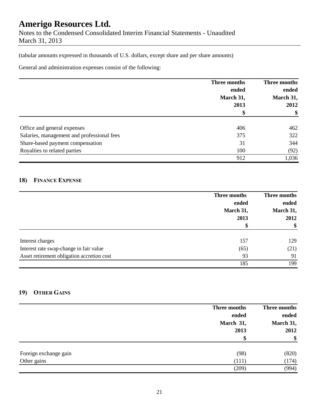March 31, 2013

(tabular amounts expressed in thousands of U.S. dollars, except share and per share amounts)

General and administration expenses consist of the following:

|                                            | Three months                     | Three months                     |  |
|--------------------------------------------|----------------------------------|----------------------------------|--|
|                                            | ended<br>March 31,<br>2013<br>\$ | ended<br>March 31,<br>2012<br>\$ |  |
|                                            |                                  |                                  |  |
|                                            |                                  |                                  |  |
|                                            |                                  |                                  |  |
| Office and general expenses                | 406                              | 462                              |  |
| Salaries, management and professional fees | 375                              | 322                              |  |
| Share-based payment compensation           | 31                               | 344                              |  |
| Royalties to related parties               | 100                              | (92)                             |  |
|                                            | 912                              | 1,036                            |  |

#### **18) FINANCE EXPENSE**

|                                            | Three months<br>ended<br>March 31,<br>2013 | Three months<br>ended<br>March 31,<br>2012<br>\$ |
|--------------------------------------------|--------------------------------------------|--------------------------------------------------|
|                                            |                                            |                                                  |
| Interest charges                           | 157                                        | 129                                              |
| Interest rate swap-change in fair value    | (65)                                       | (21)                                             |
| Asset retirement obligation accretion cost | 93                                         | 91                                               |
|                                            | 185                                        | 199                                              |

#### **19) OTHER GAINS**

|                                      | Three months<br>ended<br>March 31,<br>2013 | Three months<br>ended<br>March 31,<br>2012<br>$\mathbf{\$}$ |
|--------------------------------------|--------------------------------------------|-------------------------------------------------------------|
| Foreign exchange gain<br>Other gains | (98)<br>(111)                              | (820)<br>(174)                                              |
|                                      | (209)                                      | (994)                                                       |